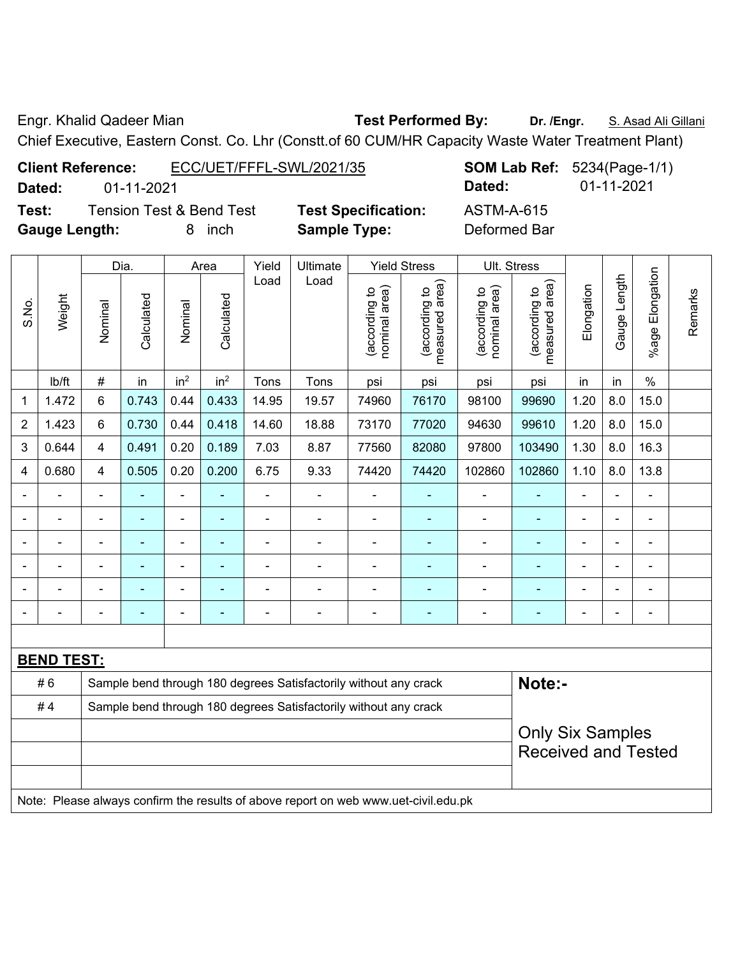Engr. Khalid Qadeer Mian **Test Performed By: Dr. /Engr.** S. Asad Ali Gillani

Chief Executive, Eastern Const. Co. Lhr (Constt.of 60 CUM/HR Capacity Waste Water Treatment Plant)

| <b>Client Reference:</b> | ECC/UET/FFFL-SWL/2021/35            |                            |            | <b>SOM Lab Ref:</b> 5234(Page-1/1) |  |  |  |
|--------------------------|-------------------------------------|----------------------------|------------|------------------------------------|--|--|--|
| Dated:                   | 01-11-2021                          |                            | Dated:     | 01-11-2021                         |  |  |  |
| Test:                    | <b>Tension Test &amp; Bend Test</b> | <b>Test Specification:</b> | ASTM-A-615 |                                    |  |  |  |

**Gauge Length:** 8 inch **Sample Type:** Deformed Bar

|                |                   |                         | Dia.<br>Area   |                          |                          | Yield          | Ultimate                                                                            |                                | <b>Yield Stress</b>                         |                                | <b>Ult. Stress</b>              |                |                |                          |         |  |
|----------------|-------------------|-------------------------|----------------|--------------------------|--------------------------|----------------|-------------------------------------------------------------------------------------|--------------------------------|---------------------------------------------|--------------------------------|---------------------------------|----------------|----------------|--------------------------|---------|--|
| S.No.          | Weight            | Nominal                 | Calculated     | Nominal                  | Calculated               | Load           | Load                                                                                | nominal area)<br>(according to | (according to<br>neasured area)<br>measured | nominal area)<br>(according to | (according to<br>measured area) | Elongation     | Gauge Length   | %age Elongation          | Remarks |  |
|                | Ib/ft             | $\#$                    | in             | in <sup>2</sup>          | in <sup>2</sup>          | Tons           | Tons                                                                                | psi                            | psi                                         | psi                            | psi                             | in             | in             | $\%$                     |         |  |
| 1              | 1.472             | 6                       | 0.743          | 0.44                     | 0.433                    | 14.95          | 19.57                                                                               | 74960                          | 76170                                       | 98100                          | 99690                           | 1.20           | 8.0            | 15.0                     |         |  |
| $\overline{2}$ | 1.423             | 6                       | 0.730          | 0.44                     | 0.418                    | 14.60          | 18.88                                                                               | 73170                          | 77020                                       | 94630                          | 99610                           | 1.20           | 8.0            | 15.0                     |         |  |
| 3              | 0.644             | 4                       | 0.491          | 0.20                     | 0.189                    | 7.03           | 8.87                                                                                | 77560                          | 82080                                       | 97800                          | 103490                          | 1.30           | 8.0            | 16.3                     |         |  |
| 4              | 0.680             | 4                       | 0.505          | 0.20                     | 0.200                    | 6.75           | 9.33                                                                                | 74420                          | 74420                                       | 102860                         | 102860                          | 1.10           | 8.0            | 13.8                     |         |  |
| $\blacksquare$ | -                 | $\blacksquare$          | ä,             | $\blacksquare$           | $\blacksquare$           | $\blacksquare$ | ÷                                                                                   | ä,                             | $\blacksquare$                              | $\blacksquare$                 | $\blacksquare$                  | $\blacksquare$ | ÷,             | $\blacksquare$           |         |  |
|                | ÷,                | $\blacksquare$          | $\blacksquare$ | $\overline{\phantom{a}}$ | $\overline{\phantom{0}}$ | ÷,             | ÷                                                                                   | $\blacksquare$                 | $\overline{\phantom{a}}$                    | $\blacksquare$                 | ٠                               | $\blacksquare$ | $\blacksquare$ | $\blacksquare$           |         |  |
|                | ÷,                | $\blacksquare$          | $\blacksquare$ | $\blacksquare$           | ٠                        | $\blacksquare$ | ÷                                                                                   | $\blacksquare$                 | $\blacksquare$                              | $\blacksquare$                 | $\blacksquare$                  | $\blacksquare$ |                | $\blacksquare$           |         |  |
|                |                   |                         |                | ÷                        |                          | $\blacksquare$ | ÷                                                                                   |                                | $\overline{\phantom{a}}$                    | $\blacksquare$                 |                                 |                |                | $\overline{\phantom{a}}$ |         |  |
|                |                   |                         |                | ä,                       |                          |                |                                                                                     |                                |                                             |                                |                                 |                |                |                          |         |  |
| -              | -                 | $\blacksquare$          | -              | -                        | $\overline{\phantom{0}}$ | ۰              | $\overline{a}$                                                                      | $\blacksquare$                 | $\overline{\phantom{a}}$                    | $\blacksquare$                 | $\blacksquare$                  | $\blacksquare$ |                | $\blacksquare$           |         |  |
|                |                   |                         |                |                          |                          |                |                                                                                     |                                |                                             |                                |                                 |                |                |                          |         |  |
|                | <b>BEND TEST:</b> |                         |                |                          |                          |                |                                                                                     |                                |                                             |                                |                                 |                |                |                          |         |  |
|                | #6                |                         |                |                          |                          |                | Sample bend through 180 degrees Satisfactorily without any crack                    |                                |                                             |                                | Note:-                          |                |                |                          |         |  |
|                | #4                |                         |                |                          |                          |                | Sample bend through 180 degrees Satisfactorily without any crack                    |                                |                                             |                                |                                 |                |                |                          |         |  |
|                |                   | <b>Only Six Samples</b> |                |                          |                          |                |                                                                                     |                                |                                             |                                |                                 |                |                |                          |         |  |
|                |                   |                         |                |                          |                          |                |                                                                                     |                                |                                             |                                | <b>Received and Tested</b>      |                |                |                          |         |  |
|                |                   |                         |                |                          |                          |                | Note: Please always confirm the results of above report on web www.uet-civil.edu.pk |                                |                                             |                                |                                 |                |                |                          |         |  |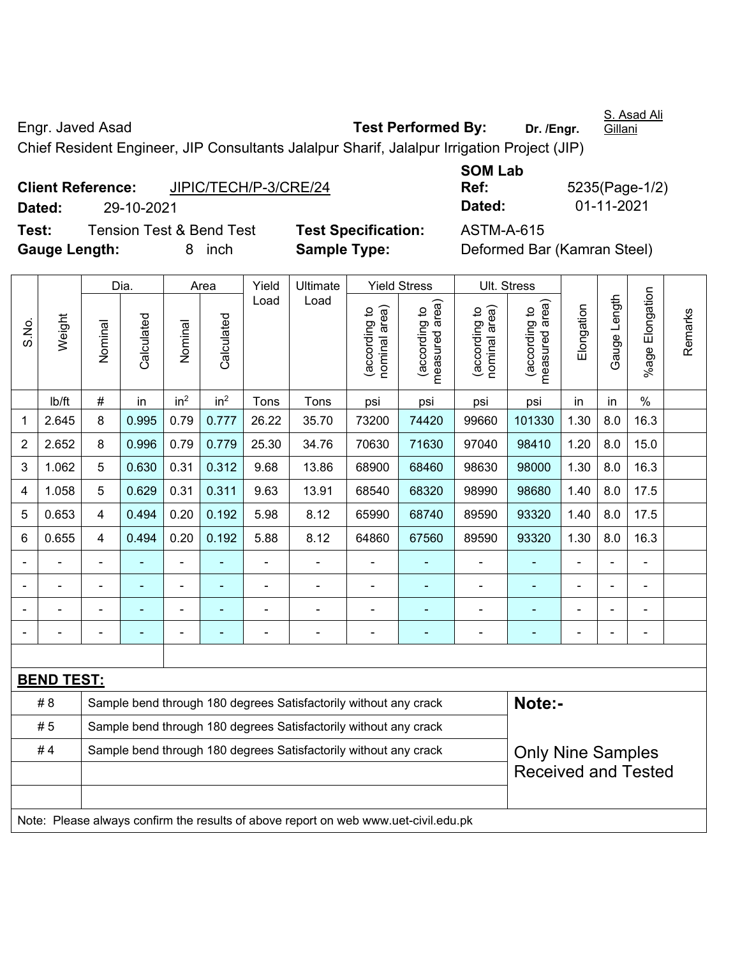Engr. Javed Asad **Test Performed By: Dr. /Engr.**  S. Asad Ali Gillani Chief Resident Engineer, JIP Consultants Jalalpur Sharif, Jalalpur Irrigation Project (JIP)

|               | <b>Client Reference:</b> | JIPIC/TECH/P-3/CRE/24               |                            | Ref:       | 5235(Page-1/                |
|---------------|--------------------------|-------------------------------------|----------------------------|------------|-----------------------------|
| Dated:        | 29-10-2021               |                                     |                            | Dated:     | 01-11-2021                  |
| Test:         |                          | <b>Tension Test &amp; Bend Test</b> | <b>Test Specification:</b> | ASTM-A-615 |                             |
| Gauge Length: |                          | inch<br>8.                          | <b>Sample Type:</b>        |            | Deformed Bar (Kamran Steel) |

**SOM Lab Dated:** 29-10-2021 **Dated:** 01-11-2021

**Ref:** 5235(Page-1/2)

|                            |                   |                | Dia.           |                          | Area            | Yield | Ultimate                                                                            |                                | <b>Yield Stress</b>             |                                | Ult. Stress                     |            |                |                      |         |
|----------------------------|-------------------|----------------|----------------|--------------------------|-----------------|-------|-------------------------------------------------------------------------------------|--------------------------------|---------------------------------|--------------------------------|---------------------------------|------------|----------------|----------------------|---------|
| S.No.                      | Weight            | Nominal        | Calculated     | Nominal                  | Calculated      | Load  | Load                                                                                | nominal area)<br>(according to | (according to<br>measured area) | (according to<br>nominal area) | measured area)<br>(according to | Elongation | Gauge Length   | Elongation<br>%age I | Remarks |
|                            | Ib/ft             | $\#$           | in             | in <sup>2</sup>          | in <sup>2</sup> | Tons  | Tons                                                                                | psi                            | psi                             | psi                            | psi                             | in         | in             | $\frac{0}{0}$        |         |
| 1                          | 2.645             | 8              | 0.995          | 0.79                     | 0.777           | 26.22 | 35.70                                                                               | 73200                          | 74420                           | 99660                          | 101330                          | 1.30       | 8.0            | 16.3                 |         |
| $\overline{2}$             | 2.652             | 8              | 0.996          | 0.79                     | 0.779           | 25.30 | 34.76                                                                               | 70630                          | 71630                           | 97040                          | 98410                           | 1.20       | 8.0            | 15.0                 |         |
| 3                          | 1.062             | 5              | 0.630          | 0.31                     | 0.312           | 9.68  | 13.86                                                                               | 68900                          | 68460                           | 98630                          | 98000                           | 1.30       | 8.0            | 16.3                 |         |
| 4                          | 1.058             | 5              | 0.629          | 0.31                     | 0.311           | 9.63  | 13.91                                                                               | 68540                          | 68320                           | 98990                          | 98680                           | 1.40       | 8.0            | 17.5                 |         |
| 5                          | 0.653             | $\overline{4}$ | 0.494          | 0.20                     | 0.192           | 5.98  | 8.12                                                                                | 65990                          | 68740                           | 89590                          | 93320                           | 1.40       | 8.0            | 17.5                 |         |
| 6                          | 0.655             | 4              | 0.494          | 0.20                     | 0.192           | 5.88  | 8.12                                                                                | 64860                          | 67560                           | 89590                          | 93320                           | 1.30       | 8.0            | 16.3                 |         |
|                            | $\blacksquare$    | $\blacksquare$ | $\blacksquare$ | ÷,                       |                 | ä,    | ÷.                                                                                  | $\blacksquare$                 |                                 | ÷,                             | $\frac{1}{2}$                   | ä,         | $\blacksquare$ | ÷                    |         |
|                            |                   | $\blacksquare$ | $\blacksquare$ | $\overline{\phantom{a}}$ | ۰               |       | ÷                                                                                   | $\blacksquare$                 | $\blacksquare$                  | $\overline{\phantom{0}}$       | $\blacksquare$                  |            |                | ÷                    |         |
|                            |                   |                |                |                          |                 |       | Ē.                                                                                  | $\blacksquare$                 |                                 | $\overline{\phantom{0}}$       | ۰                               |            |                | $\blacksquare$       |         |
|                            |                   |                |                |                          |                 |       |                                                                                     | $\blacksquare$                 |                                 |                                | ۰                               |            |                | Ē,                   |         |
|                            |                   |                |                |                          |                 |       |                                                                                     |                                |                                 |                                |                                 |            |                |                      |         |
|                            | <b>BEND TEST:</b> |                |                |                          |                 |       |                                                                                     |                                |                                 |                                |                                 |            |                |                      |         |
|                            | #8                |                |                |                          |                 |       | Sample bend through 180 degrees Satisfactorily without any crack                    |                                |                                 |                                | Note:-                          |            |                |                      |         |
|                            | #5                |                |                |                          |                 |       | Sample bend through 180 degrees Satisfactorily without any crack                    |                                |                                 |                                |                                 |            |                |                      |         |
|                            | #4                |                |                |                          |                 |       | Sample bend through 180 degrees Satisfactorily without any crack                    |                                |                                 |                                | <b>Only Nine Samples</b>        |            |                |                      |         |
| <b>Received and Tested</b> |                   |                |                |                          |                 |       |                                                                                     |                                |                                 |                                |                                 |            |                |                      |         |
|                            |                   |                |                |                          |                 |       |                                                                                     |                                |                                 |                                |                                 |            |                |                      |         |
|                            |                   |                |                |                          |                 |       | Note: Please always confirm the results of above report on web www.uet-civil.edu.pk |                                |                                 |                                |                                 |            |                |                      |         |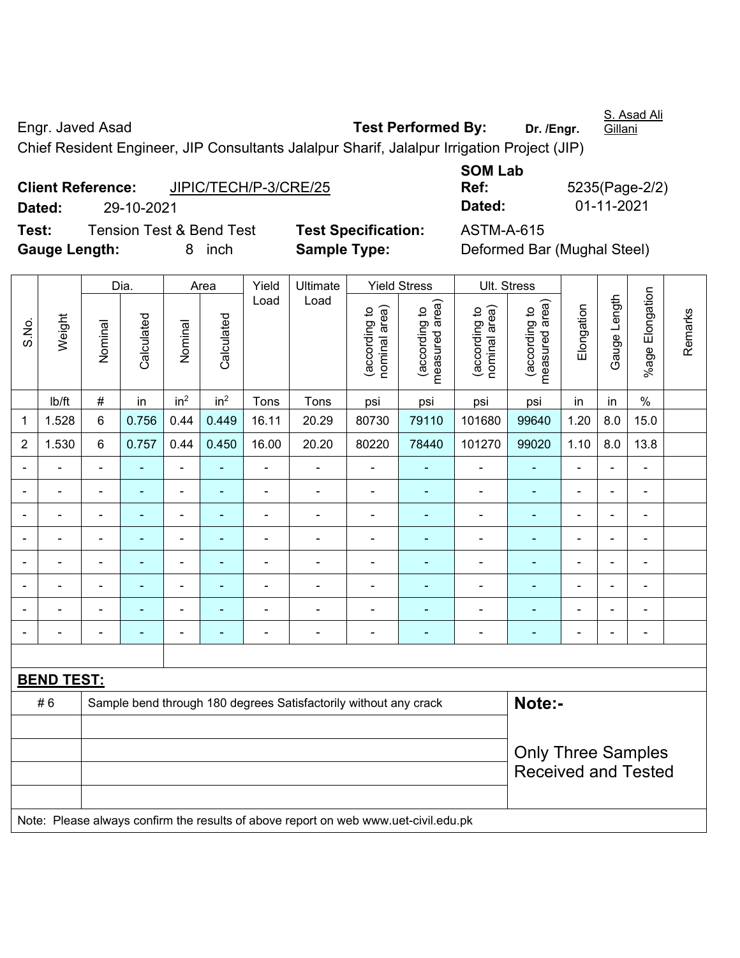Engr. Javed Asad **Test Performed By: Dr. /Engr. Gillani** Chief Resident Engineer, JIP Consultants Jalalpur Sharif, Jalalpur Irrigation Project (JIP)

**Client Reference:** JIPIC/TECH/P-3/CRE/25 **Dated:** 29-10-2021 **Dated:** 01-11-2021 **Test:** Tension Test & Bend Test **Test Specification:** ASTM-A-615 **Gauge Length:** 8 inch **Sample Type:** Deformed Bar (Mughal Steel)

**SOM Lab Ref:** 5235(Page-2/2)

|                          |                   |                           | Dia.                     |                          | Area            | Yield          | Ultimate                                                                            |                                | <b>Yield Stress</b>             |                                | Ult. Stress                     |                |                |                          |         |
|--------------------------|-------------------|---------------------------|--------------------------|--------------------------|-----------------|----------------|-------------------------------------------------------------------------------------|--------------------------------|---------------------------------|--------------------------------|---------------------------------|----------------|----------------|--------------------------|---------|
| S.No.                    | Weight            | Nominal                   | Calculated               | Nominal                  | Calculated      | Load           | Load                                                                                | nominal area)<br>(according to | measured area)<br>(according to | nominal area)<br>(according to | measured area)<br>(according to | Elongation     | Gauge Length   | %age Elongation          | Remarks |
|                          | Ib/ft             | $\#$                      | in                       | in <sup>2</sup>          | in <sup>2</sup> | Tons           | Tons                                                                                | psi                            | psi                             | psi                            | psi                             | in             | in             | $\%$                     |         |
| 1                        | 1.528             | 6                         | 0.756                    | 0.44                     | 0.449           | 16.11          | 20.29                                                                               | 80730                          | 79110                           | 101680                         | 99640                           | 1.20           | 8.0            | 15.0                     |         |
| $\overline{2}$           | 1.530             | 6                         | 0.757                    | 0.44                     | 0.450           | 16.00          | 20.20                                                                               | 80220                          | 78440                           | 101270                         | 99020                           | 1.10           | 8.0            | 13.8                     |         |
|                          |                   |                           |                          | ä,                       |                 | L.             |                                                                                     |                                |                                 | ä,                             |                                 | $\blacksquare$ |                | ä,                       |         |
|                          |                   |                           | $\overline{\phantom{0}}$ | ۰                        | ۰               | $\blacksquare$ | $\blacksquare$                                                                      | $\blacksquare$                 |                                 | $\blacksquare$                 | $\blacksquare$                  | $\blacksquare$ | $\blacksquare$ | $\blacksquare$           |         |
|                          |                   |                           |                          | -                        | ۰               |                | $\blacksquare$                                                                      |                                |                                 | $\blacksquare$                 | ۰                               | ۰              | $\blacksquare$ | $\blacksquare$           |         |
| $\overline{\phantom{0}}$ | Ē,                | ä,                        | $\blacksquare$           | ÷                        | ۰               | $\blacksquare$ | $\blacksquare$                                                                      | Ē,                             |                                 | $\blacksquare$                 | $\blacksquare$                  | ۰              | $\blacksquare$ | $\overline{\phantom{a}}$ |         |
|                          | $\blacksquare$    | ä,                        | ÷                        | $\overline{\phantom{0}}$ | ٠               | $\blacksquare$ | ÷                                                                                   | $\blacksquare$                 | $\overline{\phantom{a}}$        | $\blacksquare$                 | ÷                               | $\blacksquare$ | ä,             | $\blacksquare$           |         |
|                          | $\blacksquare$    | $\blacksquare$            | ÷                        | ÷                        | $\blacksquare$  | $\blacksquare$ | $\blacksquare$                                                                      | $\blacksquare$                 | $\blacksquare$                  | ä,                             | $\blacksquare$                  | $\blacksquare$ | $\blacksquare$ | $\blacksquare$           |         |
|                          |                   |                           | L.                       | ÷                        |                 |                |                                                                                     |                                |                                 | Ē,                             | Ē,                              |                |                | Ē,                       |         |
|                          |                   |                           |                          |                          | Ē.              | $\blacksquare$ |                                                                                     |                                |                                 | $\blacksquare$                 | Ē.                              | ۰              | $\blacksquare$ | $\overline{\phantom{0}}$ |         |
|                          |                   |                           |                          |                          |                 |                |                                                                                     |                                |                                 |                                |                                 |                |                |                          |         |
|                          | <b>BEND TEST:</b> |                           |                          |                          |                 |                |                                                                                     |                                |                                 |                                |                                 |                |                |                          |         |
|                          | #6                |                           |                          |                          |                 |                | Sample bend through 180 degrees Satisfactorily without any crack                    |                                |                                 |                                | Note:-                          |                |                |                          |         |
|                          |                   |                           |                          |                          |                 |                |                                                                                     |                                |                                 |                                |                                 |                |                |                          |         |
|                          |                   | <b>Only Three Samples</b> |                          |                          |                 |                |                                                                                     |                                |                                 |                                |                                 |                |                |                          |         |
|                          |                   |                           |                          |                          |                 |                |                                                                                     |                                |                                 |                                | <b>Received and Tested</b>      |                |                |                          |         |
|                          |                   |                           |                          |                          |                 |                |                                                                                     |                                |                                 |                                |                                 |                |                |                          |         |
|                          |                   |                           |                          |                          |                 |                | Note: Please always confirm the results of above report on web www.uet-civil.edu.pk |                                |                                 |                                |                                 |                |                |                          |         |

S. Asad Ali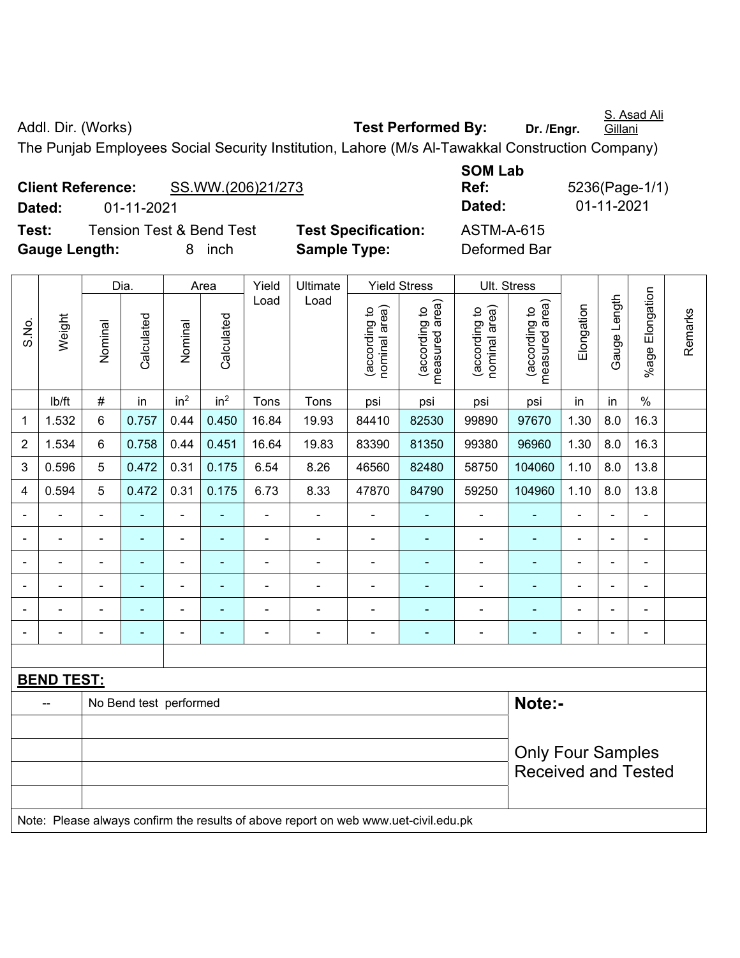S. Asad Ali **Gillani** 

Addl. Dir. (Works) **Test Performed By:** Dr. /Engr.

The Punjab Employees Social Security Institution, Lahore (M/s Al-Tawakkal Construction Company)

**Client Reference:** SS.WW.(206)21/273 **Dated:** 01-11-2021 **Dated:** 01-11-2021 **Test:** Tension Test & Bend Test **Test Specification:** ASTM-A-615 **Gauge Length:** 8 inch **Sample Type:** Deformed Bar

**SOM Lab Ref:** 5236(Page-1/1)

|                |                   |                          | Dia.                   |                              | Area                     | Yield          | Ultimate                                                                            |                                | <b>Yield Stress</b>             |                                | Ult. Stress                     |                |                |                 |         |
|----------------|-------------------|--------------------------|------------------------|------------------------------|--------------------------|----------------|-------------------------------------------------------------------------------------|--------------------------------|---------------------------------|--------------------------------|---------------------------------|----------------|----------------|-----------------|---------|
| S.No.          | Weight            | Nominal                  | Calculated             | Nominal                      | Calculated               | Load           | Load                                                                                | nominal area)<br>(according to | (according to<br>measured area) | nominal area)<br>(according to | measured area)<br>(according to | Elongation     | Gauge Length   | %age Elongation | Remarks |
|                | Ib/ft             | $\#$                     | in                     | in <sup>2</sup>              | in <sup>2</sup>          | Tons           | Tons                                                                                | psi                            | psi                             | psi                            | psi                             | in             | in             | $\%$            |         |
| 1              | 1.532             | 6                        | 0.757                  | 0.44                         | 0.450                    | 16.84          | 19.93                                                                               | 84410                          | 82530                           | 99890                          | 97670                           | 1.30           | 8.0            | 16.3            |         |
| $\overline{2}$ | 1.534             | 6                        | 0.758                  | 0.44                         | 0.451                    | 16.64          | 19.83                                                                               | 83390                          | 81350                           | 99380                          | 96960                           | 1.30           | 8.0            | 16.3            |         |
| 3              | 0.596             | 5                        | 0.472                  | 0.31                         | 0.175                    | 6.54           | 8.26                                                                                | 46560                          | 82480                           | 58750                          | 104060                          | 1.10           | 8.0            | 13.8            |         |
| $\overline{4}$ | 0.594             | 5                        | 0.472                  | 0.31                         | 0.175                    | 6.73           | 8.33                                                                                | 47870                          | 84790                           | 59250                          | 104960                          | 1.10           | 8.0            | 13.8            |         |
| $\blacksquare$ | $\blacksquare$    | $\blacksquare$           | $\blacksquare$         | ÷,                           | ۰                        | $\blacksquare$ | ÷,                                                                                  | $\overline{\phantom{a}}$       | $\overline{\phantom{a}}$        | $\blacksquare$                 | $\blacksquare$                  | $\blacksquare$ | $\blacksquare$ | ÷,              |         |
|                |                   |                          | $\blacksquare$         | ÷                            | $\blacksquare$           | L.             | ÷,                                                                                  | $\blacksquare$                 | $\overline{\phantom{a}}$        | ÷                              | ÷,                              |                | ä,             | $\blacksquare$  |         |
|                |                   |                          |                        | $\blacksquare$               |                          | $\blacksquare$ | ÷                                                                                   | $\blacksquare$                 |                                 | ÷                              | $\blacksquare$                  |                | $\blacksquare$ |                 |         |
|                | $\blacksquare$    | $\blacksquare$           | ۰                      | ۰                            | ۰                        | $\overline{a}$ | ÷                                                                                   | $\blacksquare$                 |                                 | $\blacksquare$                 | $\blacksquare$                  | $\blacksquare$ | $\overline{a}$ | $\blacksquare$  |         |
|                |                   |                          |                        | ÷                            | ÷                        | Ē,             | ÷,                                                                                  | Ē,                             |                                 | ÷                              | $\blacksquare$                  | ÷              | L,             | ä,              |         |
| $\blacksquare$ | -                 | $\blacksquare$           | ۰                      | $\qquad \qquad \blacksquare$ | $\overline{\phantom{a}}$ | $\overline{a}$ | ÷                                                                                   | $\blacksquare$                 | $\overline{\phantom{a}}$        | $\overline{a}$                 | $\blacksquare$                  | $\blacksquare$ | $\blacksquare$ | ÷               |         |
|                |                   |                          |                        |                              |                          |                |                                                                                     |                                |                                 |                                |                                 |                |                |                 |         |
|                | <b>BEND TEST:</b> |                          |                        |                              |                          |                |                                                                                     |                                |                                 |                                |                                 |                |                |                 |         |
|                |                   |                          | No Bend test performed |                              |                          |                |                                                                                     |                                |                                 |                                | Note:-                          |                |                |                 |         |
|                |                   |                          |                        |                              |                          |                |                                                                                     |                                |                                 |                                |                                 |                |                |                 |         |
|                |                   | <b>Only Four Samples</b> |                        |                              |                          |                |                                                                                     |                                |                                 |                                |                                 |                |                |                 |         |
|                |                   |                          |                        |                              |                          |                |                                                                                     |                                |                                 |                                | <b>Received and Tested</b>      |                |                |                 |         |
|                |                   |                          |                        |                              |                          |                |                                                                                     |                                |                                 |                                |                                 |                |                |                 |         |
|                |                   |                          |                        |                              |                          |                | Note: Please always confirm the results of above report on web www.uet-civil.edu.pk |                                |                                 |                                |                                 |                |                |                 |         |